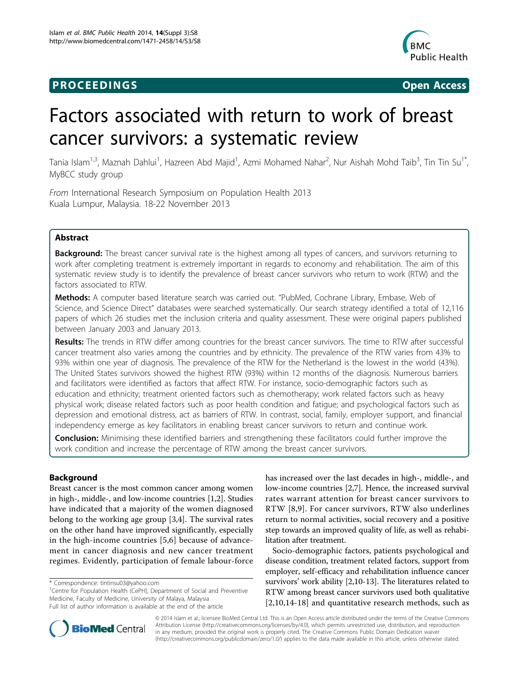# **PROCEEDINGS STATES CONSUMING S** Open Access



# Factors associated with return to work of breast cancer survivors: a systematic review

Tania Islam<sup>1,3</sup>, Maznah Dahlui<sup>1</sup>, Hazreen Abd Majid<sup>1</sup>, Azmi Mohamed Nahar<sup>2</sup>, Nur Aishah Mohd Taib<sup>3</sup>, Tin Tin Su<sup>1\*</sup>, MyBCC study group

From International Research Symposium on Population Health 2013 Kuala Lumpur, Malaysia. 18-22 November 2013

# Abstract

Background: The breast cancer survival rate is the highest among all types of cancers, and survivors returning to work after completing treatment is extremely important in regards to economy and rehabilitation. The aim of this systematic review study is to identify the prevalence of breast cancer survivors who return to work (RTW) and the factors associated to RTW.

Methods: A computer based literature search was carried out. "PubMed, Cochrane Library, Embase, Web of Science, and Science Direct" databases were searched systematically. Our search strategy identified a total of 12,116 papers of which 26 studies met the inclusion criteria and quality assessment. These were original papers published between January 2003 and January 2013.

Results: The trends in RTW differ among countries for the breast cancer survivors. The time to RTW after successful cancer treatment also varies among the countries and by ethnicity. The prevalence of the RTW varies from 43% to 93% within one year of diagnosis. The prevalence of the RTW for the Netherland is the lowest in the world (43%). The United States survivors showed the highest RTW (93%) within 12 months of the diagnosis. Numerous barriers and facilitators were identified as factors that affect RTW. For instance, socio-demographic factors such as education and ethnicity; treatment oriented factors such as chemotherapy; work related factors such as heavy physical work; disease related factors such as poor health condition and fatigue; and psychological factors such as depression and emotional distress, act as barriers of RTW. In contrast, social, family, employer support, and financial independency emerge as key facilitators in enabling breast cancer survivors to return and continue work.

**Conclusion:** Minimising these identified barriers and strengthening these facilitators could further improve the work condition and increase the percentage of RTW among the breast cancer survivors.

#### Background

Breast cancer is the most common cancer among women in high-, middle-, and low-income countries [[1,2](#page-12-0)]. Studies have indicated that a majority of the women diagnosed belong to the working age group [\[3,4](#page-12-0)]. The survival rates on the other hand have improved significantly, especially in the high-income countries [[5,6](#page-12-0)] because of advancement in cancer diagnosis and new cancer treatment regimes. Evidently, participation of female labour-force

<sup>1</sup>Centre for Population Health (CePH), Department of Social and Preventive Medicine, Faculty of Medicine, University of Malaya, Malaysia Full list of author information is available at the end of the article

has increased over the last decades in high-, middle-, and low-income countries [\[2,7](#page-12-0)]. Hence, the increased survival rates warrant attention for breast cancer survivors to RTW [\[8](#page-12-0),[9\]](#page-12-0). For cancer survivors, RTW also underlines return to normal activities, social recovery and a positive step towards an improved quality of life, as well as rehabilitation after treatment.

Socio-demographic factors, patients psychological and disease condition, treatment related factors, support from employer, self-efficacy and rehabilitation influence cancer survivors' work ability [[2](#page-12-0),[10](#page-12-0)-[13\]](#page-12-0). The literatures related to RTW among breast cancer survivors used both qualitative [[2,10](#page-12-0),[14-18](#page-12-0)] and quantitative research methods, such as



© 2014 Islam et al.; licensee BioMed Central Ltd. This is an Open Access article distributed under the terms of the Creative Commons Attribution License [\(http://creativecommons.org/licenses/by/4.0](http://creativecommons.org/licenses/by/4.0)), which permits unrestricted use, distribution, and reproduction in any medium, provided the original work is properly cited. The Creative Commons Public Domain Dedication waiver [\(http://creativecommons.org/publicdomain/zero/1.0/](http://�creativecommons.org/publicdomain/zero/1.0/)) applies to the data made available in this article, unless otherwise stated.

<sup>\*</sup> Correspondence: [tintinsu03@yahoo.com](mailto:tintinsu03@yahoo.com)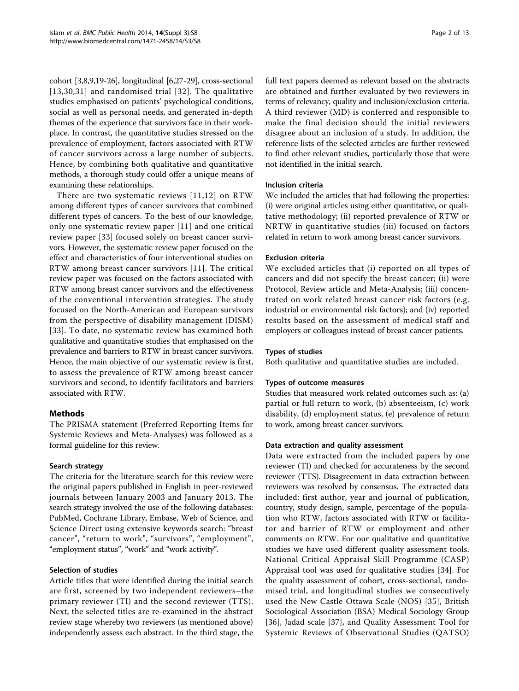cohort [[3,8,9,19](#page-12-0)-[26](#page-12-0)], longitudinal [\[6,27-29\]](#page-12-0), cross-sectional [[13,30,31\]](#page-12-0) and randomised trial [[32](#page-12-0)]. The qualitative studies emphasised on patients' psychological conditions, social as well as personal needs, and generated in-depth themes of the experience that survivors face in their workplace. In contrast, the quantitative studies stressed on the prevalence of employment, factors associated with RTW of cancer survivors across a large number of subjects. Hence, by combining both qualitative and quantitative methods, a thorough study could offer a unique means of examining these relationships.

There are two systematic reviews [\[11](#page-12-0),[12](#page-12-0)] on RTW among different types of cancer survivors that combined different types of cancers. To the best of our knowledge, only one systematic review paper [[11\]](#page-12-0) and one critical review paper [[33\]](#page-12-0) focused solely on breast cancer survivors. However, the systematic review paper focused on the effect and characteristics of four interventional studies on RTW among breast cancer survivors [[11\]](#page-12-0). The critical review paper was focused on the factors associated with RTW among breast cancer survivors and the effectiveness of the conventional intervention strategies. The study focused on the North-American and European survivors from the perspective of disability management (DISM) [[33](#page-12-0)]. To date, no systematic review has examined both qualitative and quantitative studies that emphasised on the prevalence and barriers to RTW in breast cancer survivors. Hence, the main objective of our systematic review is first, to assess the prevalence of RTW among breast cancer survivors and second, to identify facilitators and barriers associated with RTW.

#### Methods

The PRISMA statement (Preferred Reporting Items for Systemic Reviews and Meta-Analyses) was followed as a formal guideline for this review.

#### Search strategy

The criteria for the literature search for this review were the original papers published in English in peer-reviewed journals between January 2003 and January 2013. The search strategy involved the use of the following databases: PubMed, Cochrane Library, Embase, Web of Science, and Science Direct using extensive keywords search: "breast cancer", "return to work", "survivors", "employment", "employment status", "work" and "work activity".

#### Selection of studies

Article titles that were identified during the initial search are first, screened by two independent reviewers–the primary reviewer (TI) and the second reviewer (TTS). Next, the selected titles are re-examined in the abstract review stage whereby two reviewers (as mentioned above) independently assess each abstract. In the third stage, the full text papers deemed as relevant based on the abstracts are obtained and further evaluated by two reviewers in terms of relevancy, quality and inclusion/exclusion criteria. A third reviewer (MD) is conferred and responsible to make the final decision should the initial reviewers disagree about an inclusion of a study. In addition, the reference lists of the selected articles are further reviewed to find other relevant studies, particularly those that were not identified in the initial search.

# Inclusion criteria

We included the articles that had following the properties: (i) were original articles using either quantitative, or qualitative methodology; (ii) reported prevalence of RTW or NRTW in quantitative studies (iii) focused on factors related in return to work among breast cancer survivors.

#### Exclusion criteria

We excluded articles that (i) reported on all types of cancers and did not specify the breast cancer; (ii) were Protocol, Review article and Meta-Analysis; (iii) concentrated on work related breast cancer risk factors (e.g. industrial or environmental risk factors); and (iv) reported results based on the assessment of medical staff and employers or colleagues instead of breast cancer patients.

#### Types of studies

Both qualitative and quantitative studies are included.

#### Types of outcome measures

Studies that measured work related outcomes such as: (a) partial or full return to work, (b) absenteeism, (c) work disability, (d) employment status, (e) prevalence of return to work, among breast cancer survivors.

#### Data extraction and quality assessment

Data were extracted from the included papers by one reviewer (TI) and checked for accurateness by the second reviewer (TTS). Disagreement in data extraction between reviewers was resolved by consensus. The extracted data included: first author, year and journal of publication, country, study design, sample, percentage of the population who RTW, factors associated with RTW or facilitator and barrier of RTW or employment and other comments on RTW. For our qualitative and quantitative studies we have used different quality assessment tools. National Critical Appraisal Skill Programme (CASP) Appraisal tool was used for qualitative studies [[34\]](#page-12-0). For the quality assessment of cohort, cross-sectional, randomised trial, and longitudinal studies we consecutively used the New Castle Ottawa Scale (NOS) [[35](#page-12-0)], British Sociological Association (BSA) Medical Sociology Group [[36\]](#page-12-0), Jadad scale [[37\]](#page-12-0), and Quality Assessment Tool for Systemic Reviews of Observational Studies (QATSO)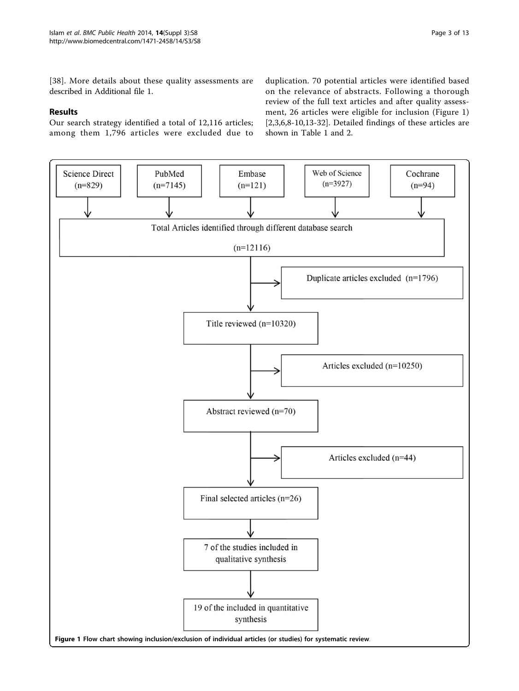[[38](#page-12-0)]. More details about these quality assessments are described in Additional file [1.](#page-11-0)

# Results

Our search strategy identified a total of 12,116 articles; among them 1,796 articles were excluded due to

duplication. 70 potential articles were identified based on the relevance of abstracts. Following a thorough review of the full text articles and after quality assessment, 26 articles were eligible for inclusion (Figure 1) [[2,3,6](#page-12-0),[8-10,13](#page-12-0)-[32\]](#page-12-0). Detailed findings of these articles are shown in Table [1](#page-3-0) and [2.](#page-7-0)

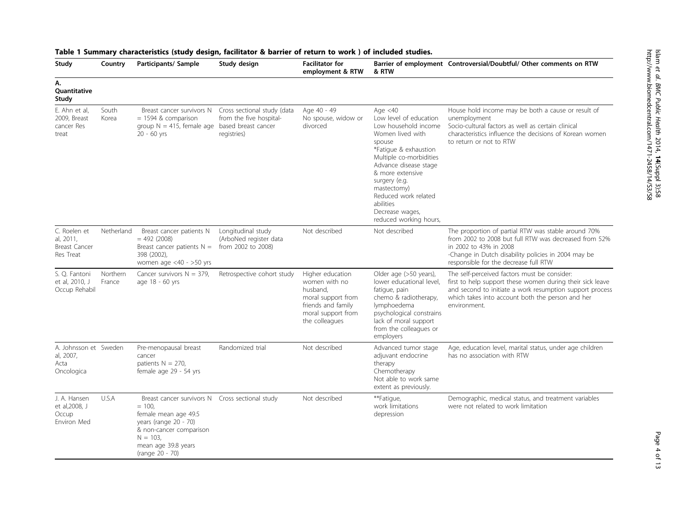| Study                                                          | Country                                                                                                                                                                                                  | Participants/ Sample                                                                                                                                                                                                        | Study design                                 | <b>Facilitator for</b><br>employment & RTW                                                                                                                                                                                                                                                                    | & RTW                                                                                                                                                                                                          | Barrier of employment Controversial/Doubtful/ Other comments on RTW                                                                                                                                                                       |  |  |
|----------------------------------------------------------------|----------------------------------------------------------------------------------------------------------------------------------------------------------------------------------------------------------|-----------------------------------------------------------------------------------------------------------------------------------------------------------------------------------------------------------------------------|----------------------------------------------|---------------------------------------------------------------------------------------------------------------------------------------------------------------------------------------------------------------------------------------------------------------------------------------------------------------|----------------------------------------------------------------------------------------------------------------------------------------------------------------------------------------------------------------|-------------------------------------------------------------------------------------------------------------------------------------------------------------------------------------------------------------------------------------------|--|--|
| А.<br>Quantitative<br>Study                                    |                                                                                                                                                                                                          |                                                                                                                                                                                                                             |                                              |                                                                                                                                                                                                                                                                                                               |                                                                                                                                                                                                                |                                                                                                                                                                                                                                           |  |  |
| E. Ahn et al,<br>2009, Breast<br>cancer Res<br>treat           | South<br>Korea                                                                                                                                                                                           | Age 40 - 49<br>Breast cancer survivors N<br>Cross sectional study (data<br>$= 1594$ & comparison<br>from the five hospital-<br>group $N = 415$ , female age based breast cancer<br>divorced<br>$20 - 60$ yrs<br>registries) | No spouse, widow or                          | Age $<$ 40<br>Low level of education<br>Low household income<br>Women lived with<br>spouse<br>*Fatigue & exhaustion<br>Multiple co-morbidities<br>Advance disease stage<br>& more extensive<br>surgery (e.g.<br>mastectomy)<br>Reduced work related<br>abilities<br>Decrease wages,<br>reduced working hours, | House hold income may be both a cause or result of<br>unemployment<br>Socio-cultural factors as well as certain clinical<br>characteristics influence the decisions of Korean women<br>to return or not to RTW |                                                                                                                                                                                                                                           |  |  |
| C. Roelen et<br>al, 2011,<br><b>Breast Cancer</b><br>Res Treat | Netherland                                                                                                                                                                                               | Breast cancer patients N<br>$= 492(2008)$<br>Breast cancer patients $N =$ from 2002 to 2008)<br>398 (2002),<br>women age $<$ 40 - >50 yrs                                                                                   | Longitudinal study<br>(ArboNed register data | Not described                                                                                                                                                                                                                                                                                                 | Not described                                                                                                                                                                                                  | The proportion of partial RTW was stable around 70%<br>from 2002 to 2008 but full RTW was decreased from 52%<br>in 2002 to 43% in 2008<br>-Change in Dutch disability policies in 2004 may be<br>responsible for the decrease full RTW    |  |  |
| S. Q. Fantoni<br>et al, 2010, J<br>Occup Rehabil               | Northern<br>France                                                                                                                                                                                       | Cancer survivors $N = 379$ ,<br>age 18 - 60 yrs                                                                                                                                                                             | Retrospective cohort study                   | Higher education<br>women with no<br>husband,<br>moral support from<br>friends and family<br>moral support from<br>the colleagues                                                                                                                                                                             | Older age (>50 years),<br>lower educational level,<br>fatique, pain<br>chemo & radiotherapy,<br>lymphoedema<br>psychological constrains<br>lack of moral support<br>from the colleagues or<br>employers        | The self-perceived factors must be consider:<br>first to help support these women during their sick leave<br>and second to initiate a work resumption support process<br>which takes into account both the person and her<br>environment. |  |  |
| A. Johnsson et Sweden<br>al, 2007,<br>Acta<br>Oncologica       |                                                                                                                                                                                                          | Pre-menopausal breast<br>cancer<br>patients $N = 270$ ,<br>female age 29 - 54 yrs                                                                                                                                           | Randomized trial                             | Not described                                                                                                                                                                                                                                                                                                 | Advanced tumor stage<br>adjuvant endocrine<br>therapy<br>Chemotherapy<br>Not able to work same<br>extent as previously.                                                                                        | Age, education level, marital status, under age children<br>has no association with RTW                                                                                                                                                   |  |  |
| J. A. Hansen<br>et al,2008, J<br>Occup<br>Environ Med          | U.S.A<br>Breast cancer survivors N Cross sectional study<br>$= 100,$<br>female mean age 49.5<br>years (range 20 - 70)<br>& non-cancer comparison<br>$N = 103.$<br>mean age 39.8 years<br>(range 20 - 70) |                                                                                                                                                                                                                             | Not described                                | **Fatique,<br>work limitations<br>depression                                                                                                                                                                                                                                                                  | Demographic, medical status, and treatment variables<br>were not related to work limitation                                                                                                                    |                                                                                                                                                                                                                                           |  |  |

# <span id="page-3-0"></span>Table 1 Summary characteristics (study design, facilitator & barrier of return to work ) of included studies.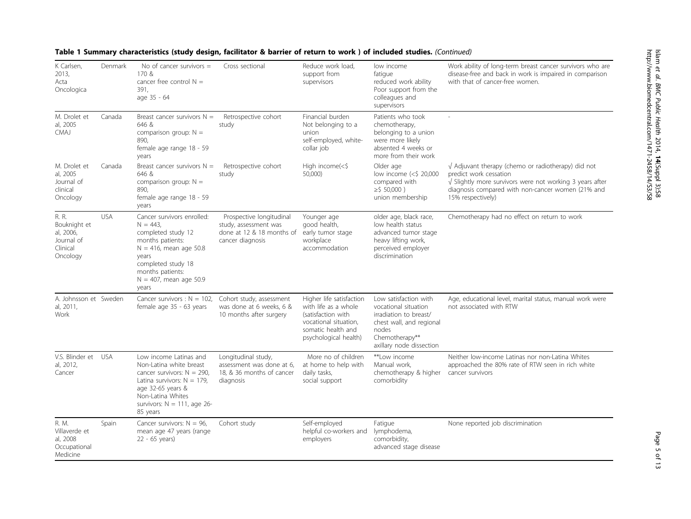| K Carlsen,<br>2013,<br>Acta<br>Oncologica                                | Denmark    | No of cancer survivors $=$<br>170.8<br>cancer free control $N =$<br>391.<br>age 35 - 64                                                                                                                                                                                                                   | Cross sectional                                                                                    | Reduce work load,<br>support from<br>supervisors                                                                                               | low income<br>fatique<br>reduced work ability<br>Poor support from the<br>colleagues and<br>supervisors                                                    | Work ability of long-term breast cancer survivors who are<br>disease-free and back in work is impaired in comparison<br>with that of cancer-free women.                                                                        |  |  |
|--------------------------------------------------------------------------|------------|-----------------------------------------------------------------------------------------------------------------------------------------------------------------------------------------------------------------------------------------------------------------------------------------------------------|----------------------------------------------------------------------------------------------------|------------------------------------------------------------------------------------------------------------------------------------------------|------------------------------------------------------------------------------------------------------------------------------------------------------------|--------------------------------------------------------------------------------------------------------------------------------------------------------------------------------------------------------------------------------|--|--|
| M. Drolet et<br>al, 2005<br><b>CMAJ</b>                                  | Canada     | Breast cancer survivors $N =$<br>646 &<br>comparison group: $N =$<br>890,<br>female age range 18 - 59<br>years                                                                                                                                                                                            | Retrospective cohort<br>study                                                                      | Financial burden<br>Not belonging to a<br>union<br>self-employed, white-<br>collar job                                                         | Patients who took<br>chemotherapy,<br>belonging to a union<br>were more likely<br>absented 4 weeks or<br>more from their work                              |                                                                                                                                                                                                                                |  |  |
| M. Drolet et<br>Canada<br>al, 2005<br>Journal of<br>clinical<br>Oncology |            | Breast cancer survivors $N =$<br>646 &<br>comparison group: $N =$<br>890,<br>female age range 18 - 59<br>years                                                                                                                                                                                            | Retrospective cohort<br>study                                                                      | High income(<\$<br>Older age<br>50,000)<br>low income $(<$ \$ 20,000<br>compared with<br>$\ge$ \$ 50,000)<br>union membership                  |                                                                                                                                                            | $\sqrt$ Adjuvant therapy (chemo or radiotherapy) did not<br>predict work cessation<br>$\sqrt$ Slightly more survivors were not working 3 years after<br>diagnosis compared with non-cancer women (21% and<br>15% respectively) |  |  |
| R. R.<br>Bouknight et<br>al, 2006,<br>Journal of<br>Clinical<br>Oncology | <b>USA</b> | Cancer survivors enrolled:<br>$N = 443$ ,<br>completed study 12<br>months patients:<br>$N = 416$ , mean age 50.8<br>years<br>completed study 18<br>months patients:<br>$N = 407$ , mean age 50.9<br>years                                                                                                 | Prospective longitudinal<br>study, assessment was<br>done at 12 & 18 months of<br>cancer diagnosis | Younger age<br>good health,<br>early tumor stage<br>workplace<br>accommodation                                                                 | older age, black race,<br>low health status<br>advanced tumor stage<br>heavy lifting work,<br>perceived employer<br>discrimination                         | Chemotherapy had no effect on return to work                                                                                                                                                                                   |  |  |
| A. Johnsson et Sweden<br>al, 2011,<br>Work                               |            | Cancer survivors : $N = 102$ ,<br>female age 35 - 63 years                                                                                                                                                                                                                                                | Cohort study, assessment<br>was done at 6 weeks, 6 &<br>10 months after surgery                    | Higher life satisfaction<br>with life as a whole<br>(satisfaction with<br>vocational situation,<br>somatic health and<br>psychological health) | Low satisfaction with<br>vocational situation<br>irradiation to breast/<br>chest wall, and regional<br>nodes<br>Chemotherapy**<br>axillary node dissection | Age, educational level, marital status, manual work were<br>not associated with RTW                                                                                                                                            |  |  |
| V.S. Blinder et USA<br>al, 2012,<br>Cancer                               |            | Low income Latinas and<br>Longitudinal study,<br>assessment was done at 6,<br>Non-Latina white breast<br>18, & 36 months of cancer<br>cancer survivors: $N = 290$ ,<br>Latina survivors: $N = 179$ ,<br>diagnosis<br>age 32-65 years &<br>Non-Latina Whites<br>survivors: $N = 111$ , age 26-<br>85 years |                                                                                                    | More no of children<br>at home to help with<br>daily tasks,<br>social support                                                                  | **I ow income<br>Manual work.<br>chemotherapy & higher<br>comorbidity                                                                                      | Neither low-income Latinas nor non-Latina Whites<br>approached the 80% rate of RTW seen in rich white<br>cancer survivors                                                                                                      |  |  |
| R. M.<br>Villaverde et<br>al, 2008<br>Occupational<br>Medicine           | Spain      | Cancer survivors: $N = 96$ ,<br>mean age 47 years (range<br>22 - 65 years)                                                                                                                                                                                                                                | Cohort study                                                                                       | Self-employed<br>helpful co-workers and<br>employers                                                                                           | Fatigue<br>lymphodema,<br>comorbidity,<br>advanced stage disease                                                                                           | None reported job discrimination                                                                                                                                                                                               |  |  |

# Table 1 Summary characteristics (study design, facilitator & barrier of return to work ) of included studies. (Continued)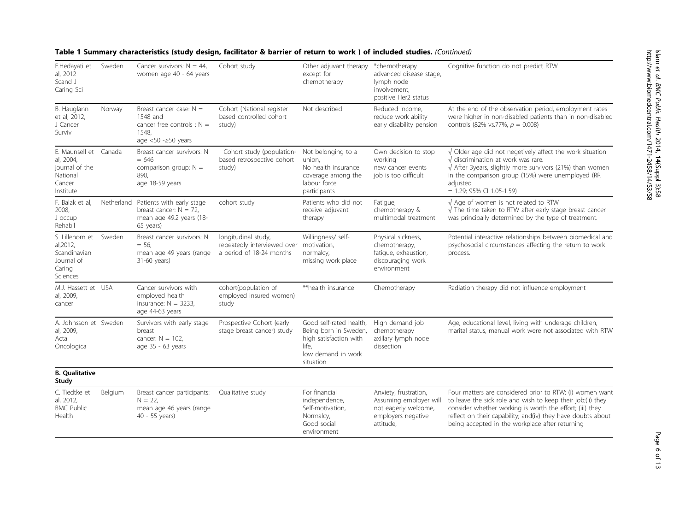| E.Hedayati et<br>al, 2012<br>Scand J<br>Caring Sci                                      | Sweden                                                                                                                                                                                     | Cancer survivors: $N = 44$ ,<br>women age 40 - 64 years                                                                                                               | Cohort study<br>*chemotherapy<br>Other adjuvant therapy<br>except for<br>chemotherapy<br>lymph node<br>involvement.<br>positive Her2 status |                                                                                                                        | advanced disease stage,                                                                                                                                    | Cognitive function do not predict RTW                                                                                                                                                                                                                                                                 |  |  |  |
|-----------------------------------------------------------------------------------------|--------------------------------------------------------------------------------------------------------------------------------------------------------------------------------------------|-----------------------------------------------------------------------------------------------------------------------------------------------------------------------|---------------------------------------------------------------------------------------------------------------------------------------------|------------------------------------------------------------------------------------------------------------------------|------------------------------------------------------------------------------------------------------------------------------------------------------------|-------------------------------------------------------------------------------------------------------------------------------------------------------------------------------------------------------------------------------------------------------------------------------------------------------|--|--|--|
| B. Hauglann<br>et al, 2012,<br>J Cancer<br>Surviv                                       | Cohort (National register<br>Norway<br>Breast cancer case: $N =$<br>based controlled cohort<br>1548 and<br>cancer free controls : $N =$<br>study)<br>1548,<br>age $<$ 50 - $\geq$ 50 years |                                                                                                                                                                       | Not described                                                                                                                               | Reduced income,<br>reduce work ability<br>early disability pension                                                     | At the end of the observation period, employment rates<br>were higher in non-disabled patients than in non-disabled<br>controls (82% vs.77%, $p = 0.008$ ) |                                                                                                                                                                                                                                                                                                       |  |  |  |
| E. Maunsell et Canada<br>al, 2004,<br>journal of the<br>National<br>Cancer<br>Institute | Breast cancer survivors: N<br>$= 646$<br>comparison group: $N =$<br>study)<br>890,<br>age 18-59 years                                                                                      |                                                                                                                                                                       | Cohort study (population-<br>based retrospective cohort                                                                                     | Not belonging to a<br>union,<br>No health insurance<br>coverage among the<br>labour force<br>participants              | Own decision to stop<br>working<br>new cancer events<br>job is too difficult                                                                               | $\sqrt{}$ Older age did not negetively affect the work situation<br>$\sqrt{\frac{1}{100}}$ discrimination at work was rare.<br>$\sqrt{}$ After 3years, slightly more survivors (21%) than women<br>in the comparison group (15%) were unemployed (RR<br>adjusted<br>$= 1.29$ ; 95% CI 1.05-1.59)      |  |  |  |
| F. Balak et al,<br>2008,<br>J occup<br>Rehabil                                          |                                                                                                                                                                                            | Netherland Patients with early stage<br>cohort study<br>breast cancer: $N = 72$ ,<br>mean age 49.2 years (18-<br>65 years)                                            |                                                                                                                                             | Patients who did not<br>Fatigue,<br>chemotherapy &<br>receive adjuvant<br>multimodal treatment<br>therapy              |                                                                                                                                                            | $\sqrt{}$ Age of women is not related to RTW<br>$\sqrt{}$ The time taken to RTW after early stage breast cancer<br>was principally determined by the type of treatment.                                                                                                                               |  |  |  |
| S. Lillehorn et<br>al,2012,<br>Scandinavian<br>Journal of<br>Caring<br>Sciences         | Sweden                                                                                                                                                                                     | longitudinal study,<br>Breast cancer survivors: N<br>repeatedly interviewed over<br>$= 56.$<br>a period of 18-24 months<br>mean age 49 years (range<br>$31-60$ years) |                                                                                                                                             | Willingness/ self-<br>motivation,<br>normalcy,<br>missing work place                                                   | Physical sickness,<br>chemotherapy,<br>fatique, exhaustion,<br>discouraging work<br>environment                                                            | Potential interactive relationships between biomedical and<br>psychosocial circumstances affecting the return to work<br>process.                                                                                                                                                                     |  |  |  |
| M.J. Hassett et USA<br>al, 2009,<br>cancer                                              |                                                                                                                                                                                            | cohort(population of<br>Cancer survivors with<br>employed insured women)<br>emploved health<br>insurance: $N = 3233$ ,<br>study<br>age 44-63 years                    |                                                                                                                                             | **health insurance                                                                                                     | Chemotherapy                                                                                                                                               | Radiation therapy did not influence employment                                                                                                                                                                                                                                                        |  |  |  |
| A. Johnsson et Sweden<br>al, 2009,<br>Acta<br>Oncologica                                |                                                                                                                                                                                            | Prospective Cohort (early<br>Survivors with early stage<br>stage breast cancer) study<br>breast<br>cancer: $N = 102$ ,<br>age 35 - 63 years                           |                                                                                                                                             | Good self-rated health,<br>Being born in Sweden,<br>high satisfaction with<br>life,<br>low demand in work<br>situation | High demand job<br>chemotherapy<br>axillary lymph node<br>dissection                                                                                       | Age, educational level, living with underage children,<br>marital status, manual work were not associated with RTW                                                                                                                                                                                    |  |  |  |
| <b>B.</b> Oualitative<br>Study                                                          |                                                                                                                                                                                            |                                                                                                                                                                       |                                                                                                                                             |                                                                                                                        |                                                                                                                                                            |                                                                                                                                                                                                                                                                                                       |  |  |  |
| C. Tiedtke et<br>al, 2012,<br><b>BMC Public</b><br>Health                               | Belgium                                                                                                                                                                                    | Breast cancer participants:<br>$N = 22$<br>mean age 46 years (range<br>40 - 55 years)                                                                                 | Qualitative study                                                                                                                           | For financial<br>independence,<br>Self-motivation,<br>Normalcy,<br>Good social<br>environment                          | Anxiety, frustration,<br>Assuming employer wil<br>not eagerly welcome,<br>employers negative<br>attitude,                                                  | Four matters are considered prior to RTW: (i) women want<br>to leave the sick role and wish to keep their job;(ii) they<br>consider whether working is worth the effort; (iii) they<br>reflect on their capability; and(iv) they have doubts about<br>being accepted in the workplace after returning |  |  |  |

# Table 1 Summary characteristics (study design, facilitator & barrier of return to work ) of included studies. (Continued)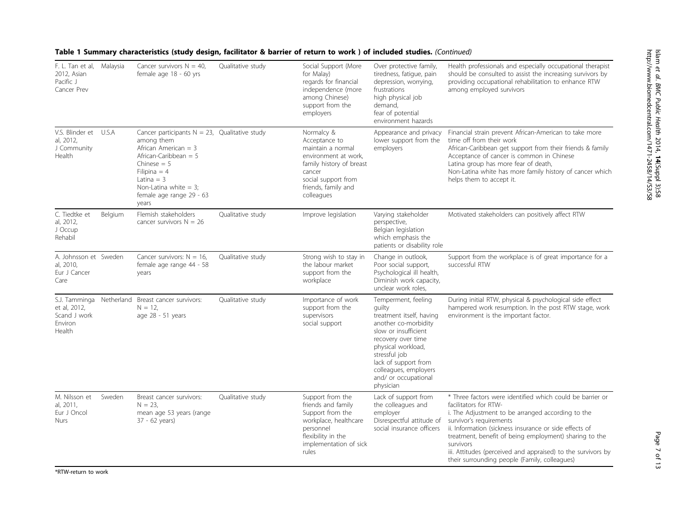| F. L. Tan et al, Malaysia<br>2012, Asian<br>Pacific J<br>Cancer Prev |         | Cancer survivors $N = 40$ ,<br>female age 18 - 60 yrs                                                                                                                                                                                  | Qualitative study                                                                                                                                                          | Social Support (More<br>for Malay)<br>regards for financial<br>independence (more<br>among Chinese)<br>support from the<br>employers                                                                      | Over protective family,<br>tiredness, fatique, pain<br>depression, worrying,<br>frustrations<br>high physical job<br>demand,<br>fear of potential<br>environment hazards                                                                                     | Health professionals and especially occupational therapist<br>should be consulted to assist the increasing survivors by<br>providing occupational rehabilitation to enhance RTW<br>among employed survivors                                                                                                                                                                                                          |
|----------------------------------------------------------------------|---------|----------------------------------------------------------------------------------------------------------------------------------------------------------------------------------------------------------------------------------------|----------------------------------------------------------------------------------------------------------------------------------------------------------------------------|-----------------------------------------------------------------------------------------------------------------------------------------------------------------------------------------------------------|--------------------------------------------------------------------------------------------------------------------------------------------------------------------------------------------------------------------------------------------------------------|----------------------------------------------------------------------------------------------------------------------------------------------------------------------------------------------------------------------------------------------------------------------------------------------------------------------------------------------------------------------------------------------------------------------|
| V.S. Blinder et U.S.A<br>al, 2012,<br>J Community<br>Health          |         | Cancer participants $N = 23$ , Qualitative study<br>among them<br>African American $=$ 3<br>African-Caribbean $= 5$<br>Chinese $= 5$<br>Filipina $=$ 4<br>Latina $=$ 3<br>Non-Latina white $=$ 3;<br>female age range 29 - 63<br>years | Normalcy &<br>Acceptance to<br>maintain a normal<br>environment at work,<br>family history of breast<br>cancer<br>social support from<br>friends, family and<br>colleagues |                                                                                                                                                                                                           | Appearance and privacy<br>lower support from the<br>employers                                                                                                                                                                                                | Financial strain prevent African-American to take more<br>time off from their work<br>African-Caribbean get support from their friends & family<br>Acceptance of cancer is common in Chinese<br>Latina group has more fear of death,<br>Non-Latina white has more family history of cancer which<br>helps them to accept it.                                                                                         |
| C. Tiedtke et<br>al, 2012,<br>J Occup<br>Rehabil                     | Belgium | Flemish stakeholders<br>cancer survivors $N = 26$                                                                                                                                                                                      | Qualitative study                                                                                                                                                          | Improve legislation                                                                                                                                                                                       | Varying stakeholder<br>perspective,<br>Belgian legislation<br>which emphasis the<br>patients or disability role                                                                                                                                              | Motivated stakeholders can positively affect RTW                                                                                                                                                                                                                                                                                                                                                                     |
| A. Johnsson et Sweden<br>al, 2010,<br>Eur J Cancer<br>Care           |         | Cancer survivors: $N = 16$ ,<br>female age range 44 - 58<br>years                                                                                                                                                                      | Qualitative study                                                                                                                                                          | Change in outlook,<br>Strong wish to stay in<br>the labour market<br>Poor social support,<br>support from the<br>Psychological ill health,<br>Diminish work capacity,<br>workplace<br>unclear work roles, |                                                                                                                                                                                                                                                              | Support from the workplace is of great importance for a<br>successful RTW                                                                                                                                                                                                                                                                                                                                            |
| et al, 2012,<br>Scand J work<br>Environ<br>Health                    |         | S.J. Tamminga Netherland Breast cancer survivors:<br>Qualitative study<br>Importance of work<br>support from the<br>$N = 12$ ,<br>age 28 - 51 years<br>supervisors<br>social support                                                   |                                                                                                                                                                            |                                                                                                                                                                                                           | Temperment, feeling<br>quilty<br>treatment itself, having<br>another co-morbidity<br>slow or insufficient<br>recovery over time<br>physical workload,<br>stressful job<br>lack of support from<br>colleagues, employers<br>and/ or occupational<br>physician | During initial RTW, physical & psychological side effect<br>hampered work resumption. In the post RTW stage, work<br>environment is the important factor.                                                                                                                                                                                                                                                            |
| M. Nilsson et<br>al, 2011,<br>Eur J Oncol<br><b>Nurs</b>             | Sweden  | Breast cancer survivors:<br>$N = 23$ ,<br>mean age 53 years (range<br>37 - 62 years)                                                                                                                                                   | Qualitative study                                                                                                                                                          | Support from the<br>friends and family<br>Support from the<br>workplace, healthcare<br>personnel<br>flexibility in the<br>implementation of sick<br>rules                                                 | Lack of support from<br>the colleagues and<br>employer<br>Disrespectful attitude of<br>social insurance officers                                                                                                                                             | * Three factors were identified which could be barrier or<br>facilitators for RTW-<br>i. The Adjustment to be arranged according to the<br>survivor's requirements<br>ii. Information (sickness insurance or side effects of<br>treatment, benefit of being employment) sharing to the<br>survivors<br>iii. Attitudes (perceived and appraised) to the survivors by<br>their surrounding people (Family, colleagues) |

# Table 1 Summary characteristics (study design, facilitator & barrier of return to work ) of included studies. (Continued)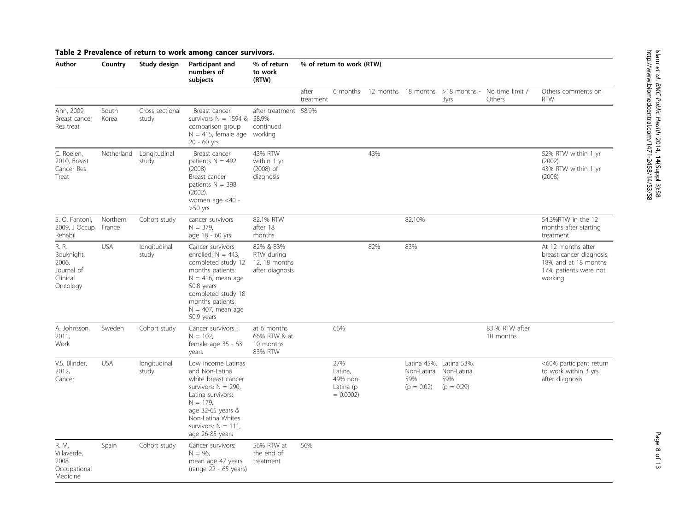<span id="page-7-0"></span>

| Table 2 Prevalence of return to work among cancer survivors. |  |  |  |
|--------------------------------------------------------------|--|--|--|
|--------------------------------------------------------------|--|--|--|

| Author                                                             | Country            | Study design             | Participant and<br>numbers of<br>subjects                                                                                                                                                                        | % of return<br>to work<br>(RTW)                             | % of return to work (RTW) |                                                       |     |                                                  |                                                  |                             |                                                                                                            |
|--------------------------------------------------------------------|--------------------|--------------------------|------------------------------------------------------------------------------------------------------------------------------------------------------------------------------------------------------------------|-------------------------------------------------------------|---------------------------|-------------------------------------------------------|-----|--------------------------------------------------|--------------------------------------------------|-----------------------------|------------------------------------------------------------------------------------------------------------|
|                                                                    |                    |                          |                                                                                                                                                                                                                  |                                                             | after<br>treatment        | 6 months                                              |     |                                                  | 12 months 18 months >18 months -<br>3yrs         | No time limit /<br>Others   | Others comments on<br><b>RTW</b>                                                                           |
| Ahn, 2009,<br>Breast cancer<br>Res treat                           | South<br>Korea     | Cross sectional<br>study | Breast cancer<br>survivors $N = 1594$ &<br>comparison group<br>$N = 415$ , female age working<br>20 - 60 yrs                                                                                                     | after treatment 58.9%<br>58.9%<br>continued                 |                           |                                                       |     |                                                  |                                                  |                             |                                                                                                            |
| C. Roelen,<br>2010, Breast<br>Cancer Res<br>Treat                  | Netherland         | Longitudinal<br>study    | Breast cancer<br>patients $N = 492$<br>(2008)<br>Breast cancer<br>patients $N = 398$<br>$(2002)$ ,<br>women age $<$ 40 -<br>$>50$ yrs                                                                            | 43% RTW<br>within 1 yr<br>$(2008)$ of<br>diagnosis          |                           |                                                       | 43% |                                                  |                                                  |                             | 52% RTW within 1 yr<br>(2002)<br>43% RTW within 1 yr<br>(2008)                                             |
| S. Q. Fantoni,<br>2009, J Occup<br>Rehabil                         | Northern<br>France | Cohort study             | cancer survivors<br>$N = 379$ ,<br>age 18 - 60 yrs                                                                                                                                                               | 82.1% RTW<br>after 18<br>months                             |                           |                                                       |     | 82.10%                                           |                                                  |                             | 54.3%RTW in the 12<br>months after starting<br>treatment                                                   |
| R. R.<br>Bouknight,<br>2006,<br>Journal of<br>Clinical<br>Oncology | <b>USA</b>         | longitudinal<br>study    | Cancer survivors<br>enrolled: $N = 443$ ,<br>completed study 12<br>months patients:<br>$N = 416$ , mean age<br>50.8 years<br>completed study 18<br>months patients:<br>$N = 407$ , mean age<br>50.9 years        | 82% & 83%<br>RTW during<br>12, 18 months<br>after diagnosis |                           |                                                       | 82% | 83%                                              |                                                  |                             | At 12 months after<br>breast cancer diagnosis,<br>18% and at 18 months<br>17% patients were not<br>working |
| A. Johnsson,<br>2011,<br>Work                                      | Sweden             | Cohort study             | Cancer survivors :<br>$N = 102$ ,<br>female age 35 - 63<br>years                                                                                                                                                 | at 6 months<br>66% RTW & at<br>10 months<br>83% RTW         |                           | 66%                                                   |     |                                                  |                                                  | 83 % RTW after<br>10 months |                                                                                                            |
| V.S. Blinder,<br>2012,<br>Cancer                                   | <b>USA</b>         | longitudinal<br>study    | Low income Latinas<br>and Non-Latina<br>white breast cancer<br>survivors: $N = 290$ ,<br>Latina survivors:<br>$N = 179$ ,<br>age 32-65 years &<br>Non-Latina Whites<br>survivors: $N = 111$ ,<br>age 26-85 years |                                                             |                           | 27%<br>Latina,<br>49% non-<br>Latina (p<br>$= 0.0002$ |     | Latina 45%,<br>Non-Latina<br>59%<br>$(p = 0.02)$ | Latina 53%,<br>Non-Latina<br>59%<br>$(p = 0.29)$ |                             | <60% participant return<br>to work within 3 yrs<br>after diagnosis                                         |
| R. M.<br>Villaverde,<br>2008<br>Occupational<br>Medicine           | Spain              | Cohort study             | Cancer survivors:<br>$N = 96$ ,<br>mean age 47 years<br>(range $22 - 65$ years)                                                                                                                                  | 56% RTW at<br>the end of<br>treatment                       | 56%                       |                                                       |     |                                                  |                                                  |                             |                                                                                                            |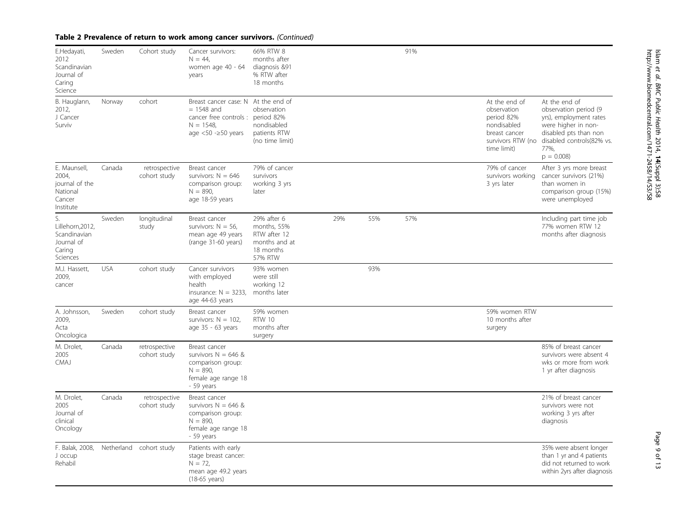| E.Hedayati,<br>2012<br>Scandinavian<br>Journal of<br>Caring<br>Science     | Sweden     | Cohort study                  | Cancer survivors:<br>$N = 44.$<br>women age 40 - 64<br>years                                                              | 66% RTW 8<br>months after<br>diagnosis &91<br>% RTW after<br>18 months              |     |     | 91% |                                                                                                                |                                                                                                                                                                      |
|----------------------------------------------------------------------------|------------|-------------------------------|---------------------------------------------------------------------------------------------------------------------------|-------------------------------------------------------------------------------------|-----|-----|-----|----------------------------------------------------------------------------------------------------------------|----------------------------------------------------------------------------------------------------------------------------------------------------------------------|
| B. Hauglann,<br>2012,<br>J Cancer<br>Surviv                                | Norway     | cohort                        | Breast cancer case: N<br>$= 1548$ and<br>cancer free controls : period 82%<br>$N = 1548.$<br>age $<$ 50 - $\geq$ 50 years | At the end of<br>observation<br>nondisabled<br>patients RTW<br>(no time limit)      |     |     |     | At the end of<br>observation<br>period 82%<br>nondisabled<br>breast cancer<br>survivors RTW (no<br>time limit) | At the end of<br>observation period (9<br>yrs), employment rates<br>were higher in non-<br>disabled pts than non<br>disabled controls(82% vs.<br>77%,<br>$p = 0.008$ |
| E. Maunsell,<br>2004,<br>journal of the<br>National<br>Cancer<br>Institute | Canada     | retrospective<br>cohort study | Breast cancer<br>survivors: $N = 646$<br>comparison group:<br>$N = 890,$<br>age 18-59 years                               | 79% of cancer<br>survivors<br>working 3 yrs<br>later                                |     |     |     | 79% of cancer<br>survivors working<br>3 yrs later                                                              | After 3 yrs more breast<br>cancer survivors (21%)<br>than women in<br>comparison group (15%)<br>were unemployed                                                      |
| S.<br>Lillehorn, 2012,<br>Scandinavian<br>Journal of<br>Caring<br>Sciences | Sweden     | longitudinal<br>study         | Breast cancer<br>survivors: $N = 56$ ,<br>mean age 49 years<br>(range 31-60 years)                                        | 29% after 6<br>months, 55%<br>RTW after 12<br>months and at<br>18 months<br>57% RTW | 29% | 55% | 57% |                                                                                                                | Including part time job<br>77% women RTW 12<br>months after diagnosis                                                                                                |
| M.J. Hassett,<br>2009,<br>cancer                                           | <b>USA</b> | cohort study                  | Cancer survivors<br>with employed<br>health<br>insurance: $N = 3233$ .<br>age 44-63 years                                 | 93% women<br>were still<br>working 12<br>months later                               |     | 93% |     |                                                                                                                |                                                                                                                                                                      |
| A. Johnsson,<br>2009,<br>Acta<br>Oncologica                                | Sweden     | cohort study                  | Breast cancer<br>survivors: $N = 102$ ,<br>age 35 - 63 years                                                              | 59% women<br><b>RTW 10</b><br>months after<br>surgery                               |     |     |     | 59% women RTW<br>10 months after<br>surgery                                                                    |                                                                                                                                                                      |
| M. Drolet,<br>2005<br><b>CMAJ</b>                                          | Canada     | retrospective<br>cohort study | Breast cancer<br>survivors $N = 646$ &<br>comparison group:<br>$N = 890$ ,<br>female age range 18<br>- 59 years           |                                                                                     |     |     |     |                                                                                                                | 85% of breast cancer<br>survivors were absent 4<br>wks or more from work<br>1 yr after diagnosis                                                                     |
| M. Drolet,<br>2005<br>Journal of<br>clinical<br>Oncology                   | Canada     | retrospective<br>cohort study | Breast cancer<br>survivors $N = 646$ &<br>comparison group:<br>$N = 890.$<br>female age range 18<br>- 59 years            |                                                                                     |     |     |     |                                                                                                                | 21% of breast cancer<br>survivors were not<br>working 3 yrs after<br>diagnosis                                                                                       |
| F. Balak, 2008,<br>J occup<br>Rehabil                                      | Netherland | cohort study                  | Patients with early<br>stage breast cancer:<br>$N = 72$ ,<br>mean age 49.2 years<br>(18-65 years)                         |                                                                                     |     |     |     |                                                                                                                | 35% were absent longer<br>than 1 yr and 4 patients<br>did not returned to work<br>within 2yrs after diagnosis                                                        |

# Table 2 Prevalence of return to work among cancer survivors. (Continued)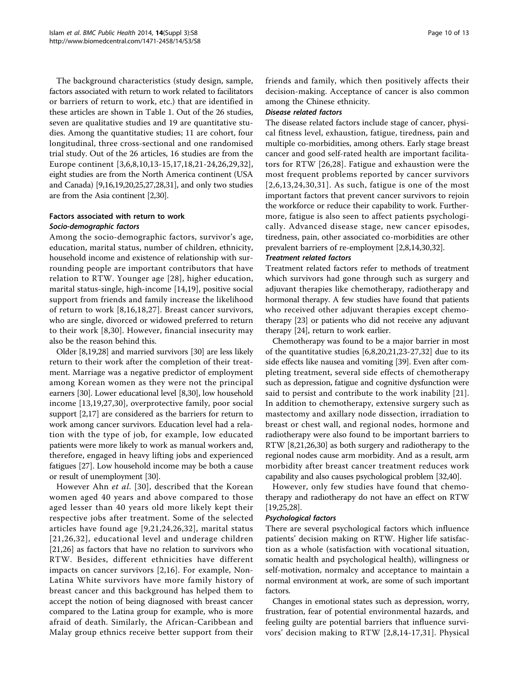The background characteristics (study design, sample, factors associated with return to work related to facilitators or barriers of return to work, etc.) that are identified in these articles are shown in Table [1.](#page-3-0) Out of the 26 studies, seven are qualitative studies and 19 are quantitative studies. Among the quantitative studies; 11 are cohort, four longitudinal, three cross-sectional and one randomised trial study. Out of the 26 articles, 16 studies are from the Europe continent [[3](#page-12-0),[6,8,10,13](#page-12-0)-[15,17,18,21-24,26,29,32](#page-12-0)], eight studies are from the North America continent (USA and Canada) [\[9,16,19,20,25,27,28,31\]](#page-12-0), and only two studies are from the Asia continent [\[2,30](#page-12-0)].

# Factors associated with return to work Socio-demographic factors

Among the socio-demographic factors, survivor's age, education, marital status, number of children, ethnicity, household income and existence of relationship with surrounding people are important contributors that have relation to RTW. Younger age [\[28\]](#page-12-0), higher education, marital status-single, high-income [[14,19\]](#page-12-0), positive social support from friends and family increase the likelihood of return to work [\[8,16](#page-12-0),[18,27](#page-12-0)]. Breast cancer survivors, who are single, divorced or widowed preferred to return to their work [[8](#page-12-0),[30\]](#page-12-0). However, financial insecurity may also be the reason behind this.

Older [[8,19,28\]](#page-12-0) and married survivors [[30\]](#page-12-0) are less likely return to their work after the completion of their treatment. Marriage was a negative predictor of employment among Korean women as they were not the principal earners [\[30](#page-12-0)]. Lower educational level [\[8,30\]](#page-12-0), low household income [[13,19](#page-12-0),[27,30](#page-12-0)], overprotective family, poor social support [\[2,17\]](#page-12-0) are considered as the barriers for return to work among cancer survivors. Education level had a relation with the type of job, for example, low educated patients were more likely to work as manual workers and, therefore, engaged in heavy lifting jobs and experienced fatigues [\[27](#page-12-0)]. Low household income may be both a cause or result of unemployment [\[30\]](#page-12-0).

However Ahn et al. [[30\]](#page-12-0), described that the Korean women aged 40 years and above compared to those aged lesser than 40 years old more likely kept their respective jobs after treatment. Some of the selected articles have found age [[9](#page-12-0),[21](#page-12-0),[24,26,32\]](#page-12-0), marital status [[21](#page-12-0),[26](#page-12-0),[32\]](#page-12-0), educational level and underage children [[21,26\]](#page-12-0) as factors that have no relation to survivors who RTW. Besides, different ethnicities have different impacts on cancer survivors [\[2](#page-12-0),[16\]](#page-12-0). For example, Non-Latina White survivors have more family history of breast cancer and this background has helped them to accept the notion of being diagnosed with breast cancer compared to the Latina group for example, who is more afraid of death. Similarly, the African-Caribbean and Malay group ethnics receive better support from their

Page 10 of 13

friends and family, which then positively affects their decision-making. Acceptance of cancer is also common among the Chinese ethnicity.

#### Disease related factors

The disease related factors include stage of cancer, physical fitness level, exhaustion, fatigue, tiredness, pain and multiple co-morbidities, among others. Early stage breast cancer and good self-rated health are important facilitators for RTW [[26,28\]](#page-12-0). Fatigue and exhaustion were the most frequent problems reported by cancer survivors [[2,6,13,24,30](#page-12-0),[31](#page-12-0)]. As such, fatigue is one of the most important factors that prevent cancer survivors to rejoin the workforce or reduce their capability to work. Furthermore, fatigue is also seen to affect patients psychologically. Advanced disease stage, new cancer episodes, tiredness, pain, other associated co-morbidities are other prevalent barriers of re-employment [[2,8,14](#page-12-0),[30](#page-12-0),[32](#page-12-0)].

#### Treatment related factors

Treatment related factors refer to methods of treatment which survivors had gone through such as surgery and adjuvant therapies like chemotherapy, radiotherapy and hormonal therapy. A few studies have found that patients who received other adjuvant therapies except chemotherapy [\[23\]](#page-12-0) or patients who did not receive any adjuvant therapy [[24](#page-12-0)], return to work earlier.

Chemotherapy was found to be a major barrier in most of the quantitative studies [[6,8,20,21](#page-12-0),[23](#page-12-0)-[27,32](#page-12-0)] due to its side effects like nausea and vomiting [[39\]](#page-12-0). Even after completing treatment, several side effects of chemotherapy such as depression, fatigue and cognitive dysfunction were said to persist and contribute to the work inability [[21](#page-12-0)]. In addition to chemotherapy, extensive surgery such as mastectomy and axillary node dissection, irradiation to breast or chest wall, and regional nodes, hormone and radiotherapy were also found to be important barriers to RTW [[8,21,26,30](#page-12-0)] as both surgery and radiotherapy to the regional nodes cause arm morbidity. And as a result, arm morbidity after breast cancer treatment reduces work capability and also causes psychological problem [\[32,40\]](#page-12-0).

However, only few studies have found that chemotherapy and radiotherapy do not have an effect on RTW [[19,25,28](#page-12-0)].

#### Psychological factors

There are several psychological factors which influence patients' decision making on RTW. Higher life satisfaction as a whole (satisfaction with vocational situation, somatic health and psychological health), willingness or self-motivation, normalcy and acceptance to maintain a normal environment at work, are some of such important factors.

Changes in emotional states such as depression, worry, frustration, fear of potential environmental hazards, and feeling guilty are potential barriers that influence survivors' decision making to RTW [[2,8,14-17,31](#page-12-0)]. Physical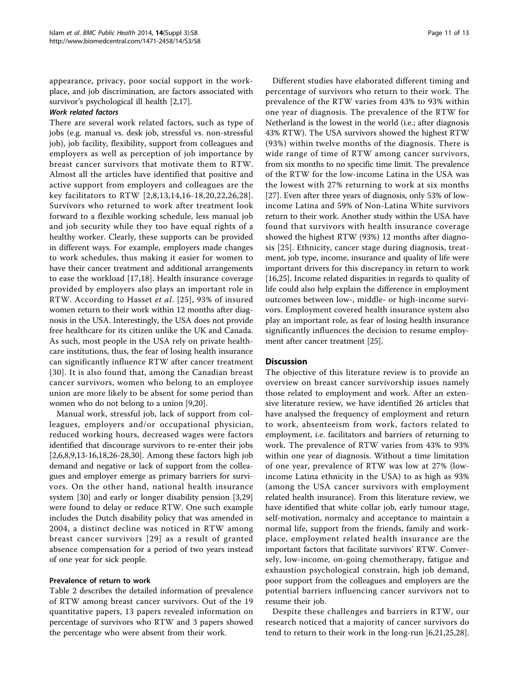appearance, privacy, poor social support in the workplace, and job discrimination, are factors associated with survivor's psychological ill health [\[2,17](#page-12-0)].

#### Work related factors

There are several work related factors, such as type of jobs (e.g. manual vs. desk job, stressful vs. non-stressful job), job facility, flexibility, support from colleagues and employers as well as perception of job importance by breast cancer survivors that motivate them to RTW. Almost all the articles have identified that positive and active support from employers and colleagues are the key facilitators to RTW [[2,8,13](#page-12-0),[14](#page-12-0),[16](#page-12-0)-[18](#page-12-0),[20](#page-12-0),[22](#page-12-0),[26](#page-12-0),[28\]](#page-12-0). Survivors who returned to work after treatment look forward to a flexible working schedule, less manual job and job security while they too have equal rights of a healthy worker. Clearly, these supports can be provided in different ways. For example, employers made changes to work schedules, thus making it easier for women to have their cancer treatment and additional arrangements to ease the workload [\[17](#page-12-0),[18\]](#page-12-0). Health insurance coverage provided by employers also plays an important role in RTW. According to Hasset et al. [[25\]](#page-12-0), 93% of insured women return to their work within 12 months after diagnosis in the USA. Interestingly, the USA does not provide free healthcare for its citizen unlike the UK and Canada. As such, most people in the USA rely on private healthcare institutions, thus, the fear of losing health insurance can significantly influence RTW after cancer treatment [[30\]](#page-12-0). It is also found that, among the Canadian breast cancer survivors, women who belong to an employee union are more likely to be absent for some period than women who do not belong to a union [\[9,20\]](#page-12-0).

Manual work, stressful job, lack of support from colleagues, employers and/or occupational physician, reduced working hours, decreased wages were factors identified that discourage survivors to re-enter their jobs [[2,6,8,9,13-16,18,26-28,30\]](#page-12-0). Among these factors high job demand and negative or lack of support from the colleagues and employer emerge as primary barriers for survivors. On the other hand, national health insurance system [\[30](#page-12-0)] and early or longer disability pension [\[3,29](#page-12-0)] were found to delay or reduce RTW. One such example includes the Dutch disability policy that was amended in 2004, a distinct decline was noticed in RTW among breast cancer survivors [[29](#page-12-0)] as a result of granted absence compensation for a period of two years instead of one year for sick people.

#### Prevalence of return to work

Table [2](#page-7-0) describes the detailed information of prevalence of RTW among breast cancer survivors. Out of the 19 quantitative papers, 13 papers revealed information on percentage of survivors who RTW and 3 papers showed the percentage who were absent from their work.

Different studies have elaborated different timing and percentage of survivors who return to their work. The prevalence of the RTW varies from 43% to 93% within one year of diagnosis. The prevalence of the RTW for Netherland is the lowest in the world (i.e.; after diagnosis 43% RTW). The USA survivors showed the highest RTW (93%) within twelve months of the diagnosis. There is wide range of time of RTW among cancer survivors, from six months to no specific time limit. The prevalence of the RTW for the low-income Latina in the USA was the lowest with 27% returning to work at six months [[27\]](#page-12-0). Even after three years of diagnosis, only 53% of lowincome Latina and 59% of Non-Latina White survivors return to their work. Another study within the USA have found that survivors with health insurance coverage showed the highest RTW (93%) 12 months after diagnosis [[25](#page-12-0)]. Ethnicity, cancer stage during diagnosis, treatment, job type, income, insurance and quality of life were important drivers for this discrepancy in return to work [[16,25\]](#page-12-0). Income related disparities in regards to quality of life could also help explain the difference in employment outcomes between low-, middle- or high-income survivors. Employment covered health insurance system also play an important role, as fear of losing health insurance significantly influences the decision to resume employment after cancer treatment [[25](#page-12-0)].

#### **Discussion**

The objective of this literature review is to provide an overview on breast cancer survivorship issues namely those related to employment and work. After an extensive literature review, we have identified 26 articles that have analysed the frequency of employment and return to work, absenteeism from work, factors related to employment, i.e. facilitators and barriers of returning to work. The prevalence of RTW varies from 43% to 93% within one year of diagnosis. Without a time limitation of one year, prevalence of RTW was low at 27% (lowincome Latina ethnicity in the USA) to as high as 93% (among the USA cancer survivors with employment related health insurance). From this literature review, we have identified that white collar job, early tumour stage, self-motivation, normalcy and acceptance to maintain a normal life, support from the friends, family and workplace, employment related health insurance are the important factors that facilitate survivors' RTW. Conversely, low-income, on-going chemotherapy, fatigue and exhaustion psychological constrain, high job demand, poor support from the colleagues and employers are the potential barriers influencing cancer survivors not to resume their job.

Despite these challenges and barriers in RTW, our research noticed that a majority of cancer survivors do tend to return to their work in the long-run [[6,21,25,28](#page-12-0)].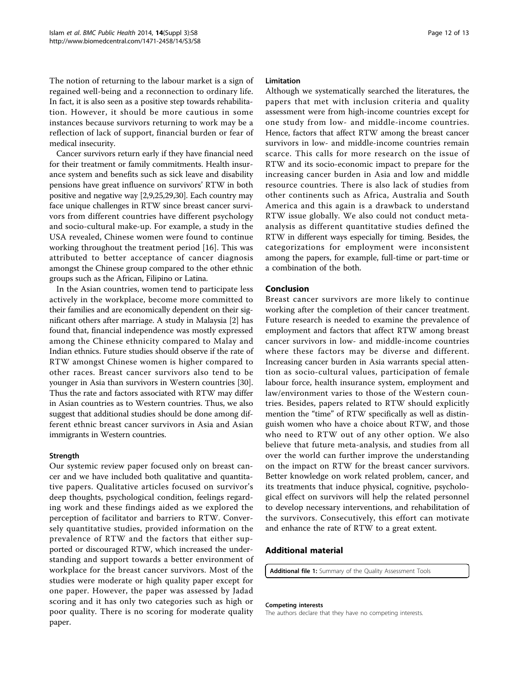<span id="page-11-0"></span>The notion of returning to the labour market is a sign of regained well-being and a reconnection to ordinary life. In fact, it is also seen as a positive step towards rehabilitation. However, it should be more cautious in some instances because survivors returning to work may be a reflection of lack of support, financial burden or fear of medical insecurity.

Cancer survivors return early if they have financial need for their treatment or family commitments. Health insurance system and benefits such as sick leave and disability pensions have great influence on survivors' RTW in both positive and negative way [[2,9,25,29,30\]](#page-12-0). Each country may face unique challenges in RTW since breast cancer survivors from different countries have different psychology and socio-cultural make-up. For example, a study in the USA revealed, Chinese women were found to continue working throughout the treatment period [[16\]](#page-12-0). This was attributed to better acceptance of cancer diagnosis amongst the Chinese group compared to the other ethnic groups such as the African, Filipino or Latina.

In the Asian countries, women tend to participate less actively in the workplace, become more committed to their families and are economically dependent on their significant others after marriage. A study in Malaysia [\[2](#page-12-0)] has found that, financial independence was mostly expressed among the Chinese ethnicity compared to Malay and Indian ethnics. Future studies should observe if the rate of RTW amongst Chinese women is higher compared to other races. Breast cancer survivors also tend to be younger in Asia than survivors in Western countries [[30](#page-12-0)]. Thus the rate and factors associated with RTW may differ in Asian countries as to Western countries. Thus, we also suggest that additional studies should be done among different ethnic breast cancer survivors in Asia and Asian immigrants in Western countries.

#### Strength

Our systemic review paper focused only on breast cancer and we have included both qualitative and quantitative papers. Qualitative articles focused on survivor's deep thoughts, psychological condition, feelings regarding work and these findings aided as we explored the perception of facilitator and barriers to RTW. Conversely quantitative studies, provided information on the prevalence of RTW and the factors that either supported or discouraged RTW, which increased the understanding and support towards a better environment of workplace for the breast cancer survivors. Most of the studies were moderate or high quality paper except for one paper. However, the paper was assessed by Jadad scoring and it has only two categories such as high or poor quality. There is no scoring for moderate quality paper.

#### Limitation

Although we systematically searched the literatures, the papers that met with inclusion criteria and quality assessment were from high-income countries except for one study from low- and middle-income countries. Hence, factors that affect RTW among the breast cancer survivors in low- and middle-income countries remain scarce. This calls for more research on the issue of RTW and its socio-economic impact to prepare for the increasing cancer burden in Asia and low and middle resource countries. There is also lack of studies from other continents such as Africa, Australia and South America and this again is a drawback to understand RTW issue globally. We also could not conduct metaanalysis as different quantitative studies defined the RTW in different ways especially for timing. Besides, the categorizations for employment were inconsistent among the papers, for example, full-time or part-time or a combination of the both.

#### Conclusion

Breast cancer survivors are more likely to continue working after the completion of their cancer treatment. Future research is needed to examine the prevalence of employment and factors that affect RTW among breast cancer survivors in low- and middle-income countries where these factors may be diverse and different. Increasing cancer burden in Asia warrants special attention as socio-cultural values, participation of female labour force, health insurance system, employment and law/environment varies to those of the Western countries. Besides, papers related to RTW should explicitly mention the "time" of RTW specifically as well as distinguish women who have a choice about RTW, and those who need to RTW out of any other option. We also believe that future meta-analysis, and studies from all over the world can further improve the understanding on the impact on RTW for the breast cancer survivors. Better knowledge on work related problem, cancer, and its treatments that induce physical, cognitive, psychological effect on survivors will help the related personnel to develop necessary interventions, and rehabilitation of the survivors. Consecutively, this effort can motivate and enhance the rate of RTW to a great extent.

#### Additional material

[Additional file 1:](http://www.biomedcentral.com/content/supplementary/1471-2458-14-S3-S8-S1.pdf) Summary of the Quality Assessment Tools

#### Competing interests

The authors declare that they have no competing interests.